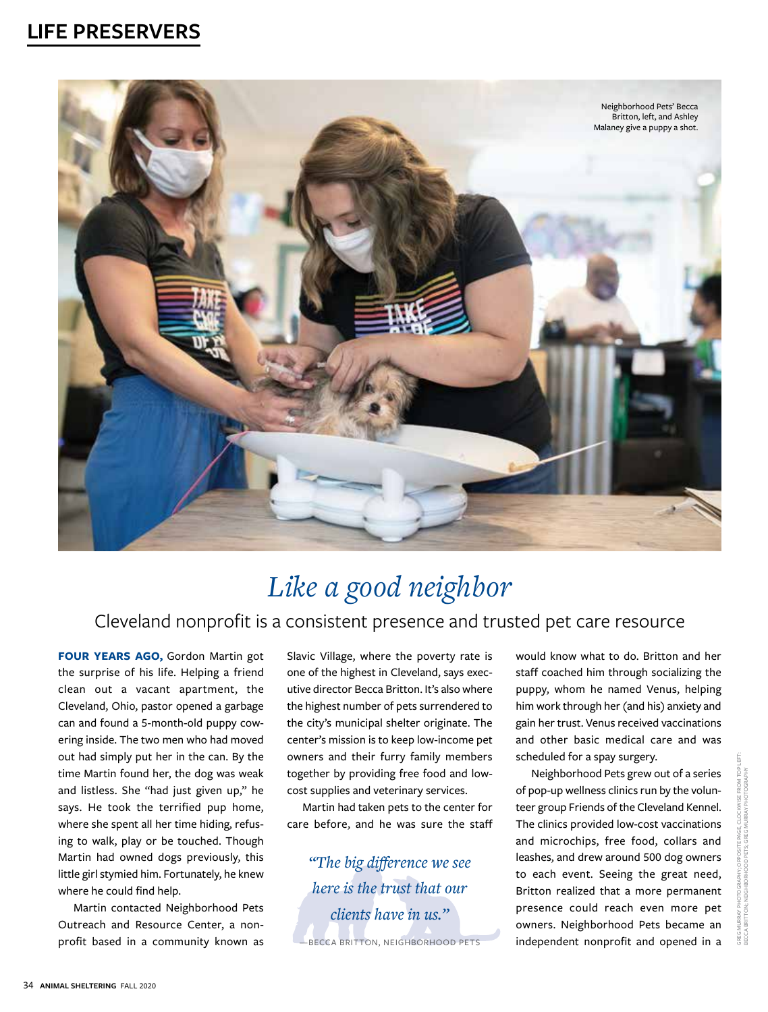

# *Like a good neighbor*

#### Cleveland nonprofit is a consistent presence and trusted pet care resource

**FOUR YEARS AGO,** Gordon Martin got the surprise of his life. Helping a friend clean out a vacant apartment, the Cleveland, Ohio, pastor opened a garbage can and found a 5-month-old puppy cowering inside. The two men who had moved out had simply put her in the can. By the time Martin found her, the dog was weak and listless. She "had just given up," he says. He took the terrified pup home, where she spent all her time hiding, refusing to walk, play or be touched. Though Martin had owned dogs previously, this little girl stymied him. Fortunately, he knew where he could find help.

Martin contacted Neighborhood Pets Outreach and Resource Center, a nonprofit based in a community known as

Slavic Village, where the poverty rate is one of the highest in Cleveland, says executive director Becca Britton. It's also where the highest number of pets surrendered to the city's municipal shelter originate. The center's mission is to keep low-income pet owners and their furry family members together by providing free food and lowcost supplies and veterinary services.

Martin had taken pets to the center for care before, and he was sure the staff

*"The big difference we see here is the trust that our clients have in us."*  —BECCA BRITTON, NEIGHBORHOOD PETS

would know what to do. Britton and her staff coached him through socializing the puppy, whom he named Venus, helping him work through her (and his) anxiety and gain her trust. Venus received vaccinations and other basic medical care and was scheduled for a spay surgery.

Neighborhood Pets grew out of a series of pop-up wellness clinics run by the volunteer group Friends of the Cleveland Kennel. The clinics provided low-cost vaccinations and microchips, free food, collars and leashes, and drew around 500 dog owners to each event. Seeing the great need, Britton realized that a more permanent presence could reach even more pet owners. Neighborhood Pets became an independent nonprofit and opened in a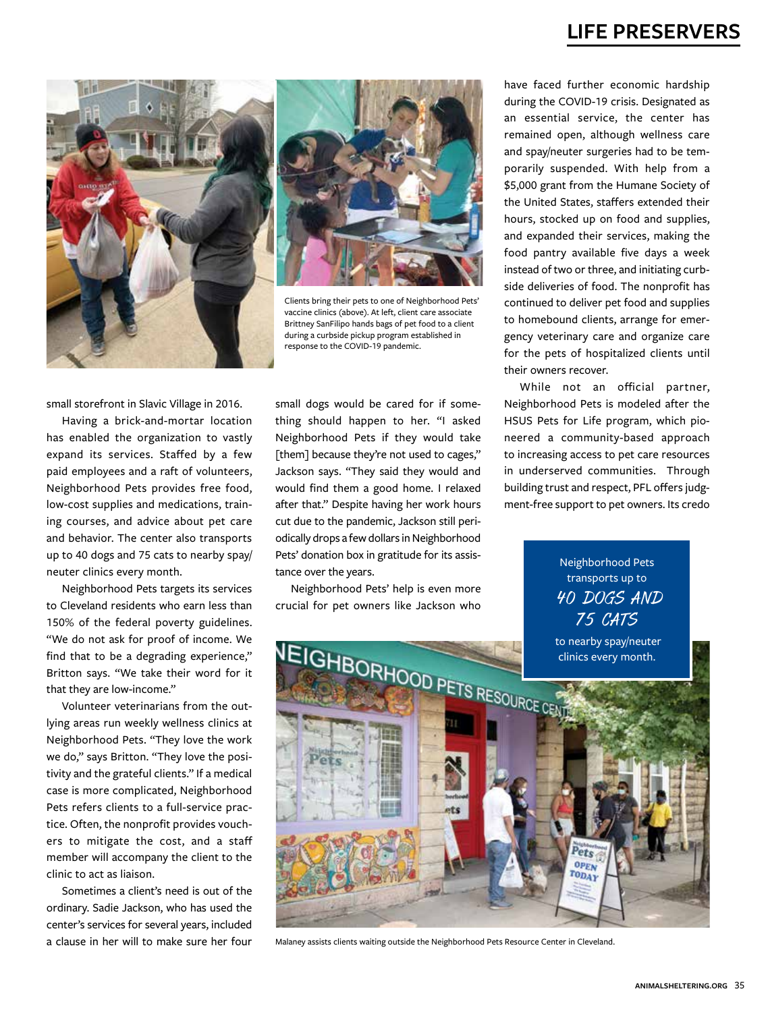



Clients bring their pets to one of Neighborhood Pets' vaccine clinics (above). At left, client care associate Brittney SanFilipo hands bags of pet food to a client during a curbside pickup program established in response to the COVID-19 pandemic.

small storefront in Slavic Village in 2016.

Having a brick-and-mortar location has enabled the organization to vastly expand its services. Staffed by a few paid employees and a raft of volunteers, Neighborhood Pets provides free food, low-cost supplies and medications, training courses, and advice about pet care and behavior. The center also transports up to 40 dogs and 75 cats to nearby spay/ neuter clinics every month.

Neighborhood Pets targets its services to Cleveland residents who earn less than 150% of the federal poverty guidelines. "We do not ask for proof of income. We find that to be a degrading experience," Britton says. "We take their word for it that they are low-income."

Volunteer veterinarians from the outlying areas run weekly wellness clinics at Neighborhood Pets. "They love the work we do," says Britton. "They love the positivity and the grateful clients." If a medical case is more complicated, Neighborhood Pets refers clients to a full-service practice. Often, the nonprofit provides vouchers to mitigate the cost, and a staff member will accompany the client to the clinic to act as liaison.

Sometimes a client's need is out of the ordinary. Sadie Jackson, who has used the center's services for several years, included a clause in her will to make sure her four

small dogs would be cared for if something should happen to her. "I asked Neighborhood Pets if they would take [them] because they're not used to cages," Jackson says. "They said they would and would find them a good home. I relaxed after that." Despite having her work hours cut due to the pandemic, Jackson still periodically drops a few dollars in Neighborhood Pets' donation box in gratitude for its assistance over the years.

Neighborhood Pets' help is even more crucial for pet owners like Jackson who

have faced further economic hardship during the COVID-19 crisis. Designated as an essential service, the center has remained open, although wellness care and spay/neuter surgeries had to be temporarily suspended. With help from a \$5,000 grant from the Humane Society of the United States, staffers extended their hours, stocked up on food and supplies, and expanded their services, making the food pantry available five days a week instead of two or three, and initiating curbside deliveries of food. The nonprofit has continued to deliver pet food and supplies to homebound clients, arrange for emergency veterinary care and organize care for the pets of hospitalized clients until their owners recover.

While not an official partner, Neighborhood Pets is modeled after the HSUS Pets for Life program, which pioneered a community-based approach to increasing access to pet care resources in underserved communities. Through building trust and respect, PFL offers judgment-free support to pet owners. Its credo

> Neighborhood Pets transports up to 40 DOGS AND 75 CATS



Malaney assists clients waiting outside the Neighborhood Pets Resource Center in Cleveland.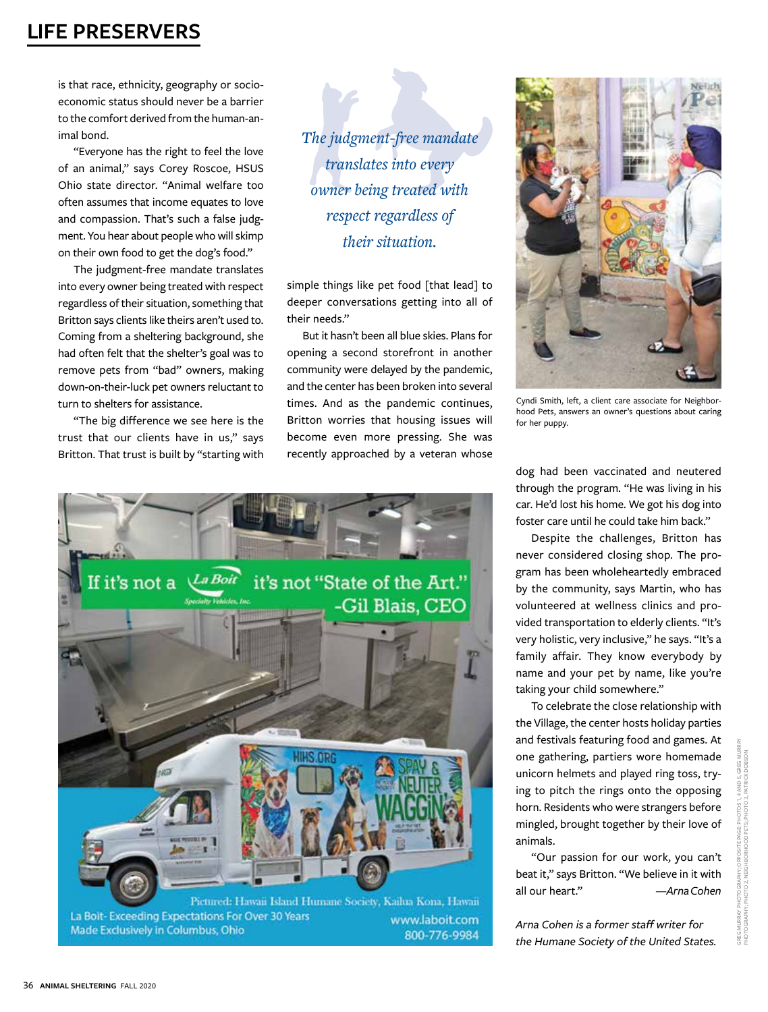is that race, ethnicity, geography or socioeconomic status should never be a barrier to the comfort derived from the human-animal bond.

"Everyone has the right to feel the love of an animal," says Corey Roscoe, HSUS Ohio state director. "Animal welfare too often assumes that income equates to love and compassion. That's such a false judgment. You hear about people who will skimp on their own food to get the dog's food."

The judgment-free mandate translates into every owner being treated with respect regardless of their situation, something that Britton says clients like theirs aren't used to. Coming from a sheltering background, she had often felt that the shelter's goal was to remove pets from "bad" owners, making down-on-their-luck pet owners reluctant to turn to shelters for assistance.

"The big difference we see here is the trust that our clients have in us," says Britton. That trust is built by "starting with

*The judgment-free mandate translates into every owner being treated with respect regardless of their situation.*

simple things like pet food [that lead] to deeper conversations getting into all of their needs."

But it hasn't been all blue skies. Plans for opening a second storefront in another community were delayed by the pandemic, and the center has been broken into several times. And as the pandemic continues, Britton worries that housing issues will become even more pressing. She was recently approached by a veteran whose



Pictured: Hawaii Island Humane Society, Kailua Kona, Hawaii La Bolt- Exceeding Expectations For Over 30 Years www.laboit.com Made Exclusively in Columbus, Ohio 800-776-9984

Cyndi Smith, left, a client care associate for Neighbor-

dog had been vaccinated and neutered through the program. "He was living in his car. He'd lost his home. We got his dog into foster care until he could take him back."

hood Pets, answers an owner's questions about caring

for her puppy.

Despite the challenges, Britton has never considered closing shop. The program has been wholeheartedly embraced by the community, says Martin, who has volunteered at wellness clinics and provided transportation to elderly clients. "It's very holistic, very inclusive," he says. "It's a family affair. They know everybody by name and your pet by name, like you're taking your child somewhere."

To celebrate the close relationship with the Village, the center hosts holiday parties and festivals featuring food and games. At one gathering, partiers wore homemade unicorn helmets and played ring toss, trying to pitch the rings onto the opposing horn. Residents who were strangers before mingled, brought together by their love of animals.

"Our passion for our work, you can't beat it," says Britton. "We believe in it with all our heart." *—Arna Cohen*

*Arna Cohen is a former staff writer for the Humane Society of the United States.*